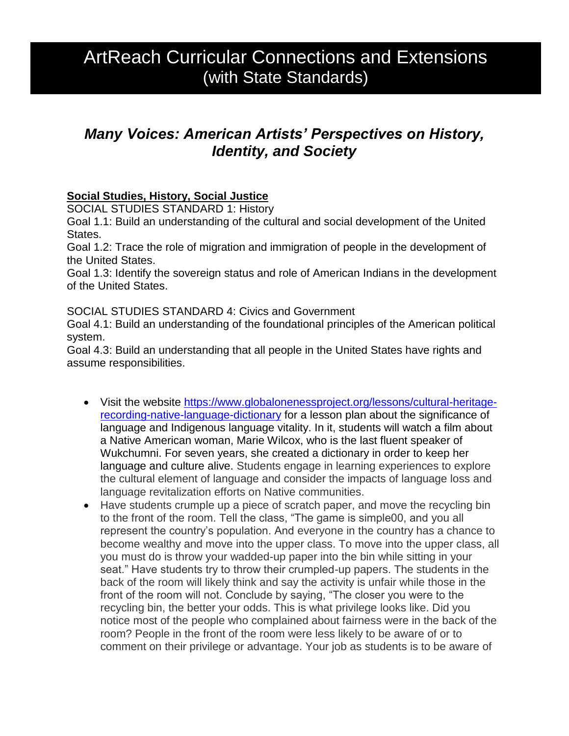# ArtReach Curricular Connections and Extensions (with State Standards)

# *Many Voices: American Artists' Perspectives on History, Identity, and Society*

### **Social Studies, History, Social Justice**

SOCIAL STUDIES STANDARD 1: History

Goal 1.1: Build an understanding of the cultural and social development of the United States.

Goal 1.2: Trace the role of migration and immigration of people in the development of the United States.

Goal 1.3: Identify the sovereign status and role of American Indians in the development of the United States.

SOCIAL STUDIES STANDARD 4: Civics and Government

Goal 4.1: Build an understanding of the foundational principles of the American political system.

Goal 4.3: Build an understanding that all people in the United States have rights and assume responsibilities.

- Visit the website [https://www.globalonenessproject.org/lessons/cultural-heritage](https://www.globalonenessproject.org/lessons/cultural-heritage-recording-native-language-dictionary)[recording-native-language-dictionary](https://www.globalonenessproject.org/lessons/cultural-heritage-recording-native-language-dictionary) for a lesson plan about the significance of language and Indigenous language vitality. In it, students will watch a film about a Native American woman, Marie Wilcox, who is the last fluent speaker of Wukchumni. For seven years, she created a dictionary in order to keep her language and culture alive. Students engage in learning experiences to explore the cultural element of language and consider the impacts of language loss and language revitalization efforts on Native communities.
- Have students crumple up a piece of scratch paper, and move the recycling bin to the front of the room. Tell the class, "The game is simple00, and you all represent the country's population. And everyone in the country has a chance to become wealthy and move into the upper class. To move into the upper class, all you must do is throw your wadded-up paper into the bin while sitting in your seat." Have students try to throw their crumpled-up papers. The students in the back of the room will likely think and say the activity is unfair while those in the front of the room will not. Conclude by saying, "The closer you were to the recycling bin, the better your odds. This is what privilege looks like. Did you notice most of the people who complained about fairness were in the back of the room? People in the front of the room were less likely to be aware of or to comment on their privilege or advantage. Your job as students is to be aware of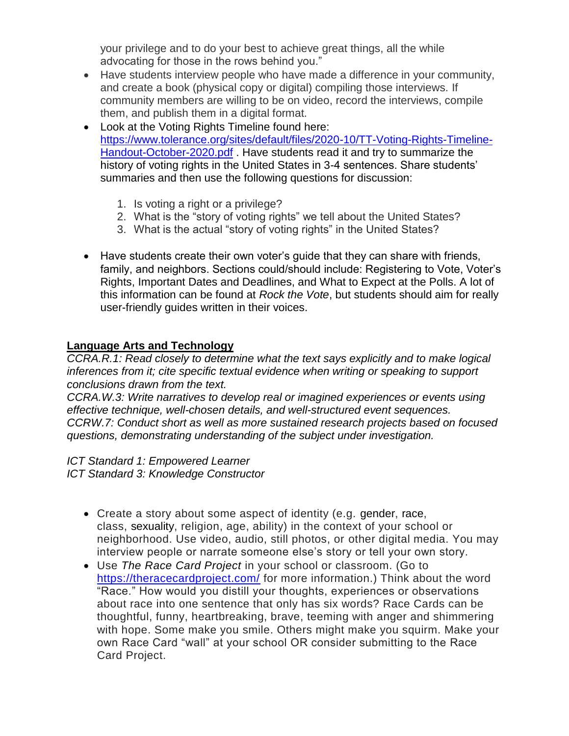your privilege and to do your best to achieve great things, all the while advocating for those in the rows behind you."

- Have students interview people who have made a difference in your community, and create a book (physical copy or digital) compiling those interviews. If community members are willing to be on video, record the interviews, compile them, and publish them in a digital format.
- Look at the Voting Rights Timeline found here: [https://www.tolerance.org/sites/default/files/2020-10/TT-Voting-Rights-Timeline-](https://www.tolerance.org/sites/default/files/2020-10/TT-Voting-Rights-Timeline-Handout-October-2020.pdf)[Handout-October-2020.pdf](https://www.tolerance.org/sites/default/files/2020-10/TT-Voting-Rights-Timeline-Handout-October-2020.pdf) . Have students read it and try to summarize the history of voting rights in the United States in 3-4 sentences. Share students' summaries and then use the following questions for discussion:
	- 1. Is voting a right or a privilege?
	- 2. What is the "story of voting rights" we tell about the United States?
	- 3. What is the actual "story of voting rights" in the United States?
- Have students create their own voter's guide that they can share with friends, family, and neighbors. Sections could/should include: Registering to Vote, Voter's Rights, Important Dates and Deadlines, and What to Expect at the Polls. A lot of this information can be found at *Rock the Vote*, but students should aim for really user-friendly guides written in their voices.

#### **Language Arts and Technology**

*CCRA.R.1: Read closely to determine what the text says explicitly and to make logical inferences from it; cite specific textual evidence when writing or speaking to support conclusions drawn from the text.*

*CCRA.W.3: Write narratives to develop real or imagined experiences or events using effective technique, well-chosen details, and well-structured event sequences. CCRW.7: Conduct short as well as more sustained research projects based on focused questions, demonstrating understanding of the subject under investigation.*

*ICT Standard 1: Empowered Learner*

*ICT Standard 3: Knowledge Constructor*

- Create a story about some aspect of identity (e.g. gender, race, class, sexuality, religion, age, ability) in the context of your school or neighborhood. Use video, audio, still photos, or other digital media. You may interview people or narrate someone else's story or tell your own story.
- Use *The Race Card Project* in your school or classroom. (Go to <https://theracecardproject.com/> for more information.) Think about the word "Race." How would you distill your thoughts, experiences or observations about race into one sentence that only has six words? Race Cards can be thoughtful, funny, heartbreaking, brave, teeming with anger and shimmering with hope. Some make you smile. Others might make you squirm. Make your own Race Card "wall" at your school OR consider submitting to the Race Card Project.